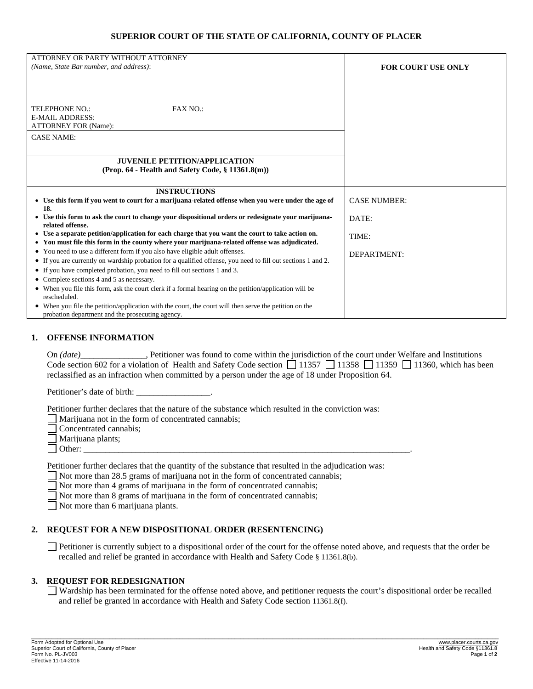### **SUPERIOR COURT OF THE STATE OF CALIFORNIA, COUNTY OF PLACER**

| ATTORNEY OR PARTY WITHOUT ATTORNEY                                                                                                                                                                |                           |
|---------------------------------------------------------------------------------------------------------------------------------------------------------------------------------------------------|---------------------------|
| (Name, State Bar number, and address):                                                                                                                                                            | <b>FOR COURT USE ONLY</b> |
|                                                                                                                                                                                                   |                           |
|                                                                                                                                                                                                   |                           |
|                                                                                                                                                                                                   |                           |
| FAX NO.:<br>TELEPHONE NO.:                                                                                                                                                                        |                           |
| <b>E-MAIL ADDRESS:</b>                                                                                                                                                                            |                           |
| <b>ATTORNEY FOR (Name):</b>                                                                                                                                                                       |                           |
| <b>CASE NAME:</b>                                                                                                                                                                                 |                           |
|                                                                                                                                                                                                   |                           |
| <b>JUVENILE PETITION/APPLICATION</b>                                                                                                                                                              |                           |
| (Prop. $64$ - Health and Safety Code, $\S$ 11361.8(m))                                                                                                                                            |                           |
|                                                                                                                                                                                                   |                           |
| <b>INSTRUCTIONS</b>                                                                                                                                                                               |                           |
| • Use this form if you went to court for a marijuana-related offense when you were under the age of                                                                                               | <b>CASE NUMBER:</b>       |
| 18.                                                                                                                                                                                               |                           |
| • Use this form to ask the court to change your dispositional orders or redesignate your marijuane-                                                                                               | DATE:                     |
| related offense.                                                                                                                                                                                  |                           |
| • Use a separate petition/application for each charge that you want the court to take action on.<br>• You must file this form in the county where your marijuana-related offense was adjudicated. | TIME:                     |
| • You need to use a different form if you also have eligible adult offenses.                                                                                                                      |                           |
| • If you are currently on wardship probation for a qualified offense, you need to fill out sections 1 and 2.                                                                                      | DEPARTMENT:               |
| • If you have completed probation, you need to fill out sections 1 and 3.                                                                                                                         |                           |
| • Complete sections 4 and 5 as necessary.                                                                                                                                                         |                           |
| • When you file this form, ask the court clerk if a formal hearing on the petition/application will be                                                                                            |                           |
| rescheduled.                                                                                                                                                                                      |                           |
| • When you file the petition/application with the court, the court will then serve the petition on the                                                                                            |                           |
| probation department and the prosecuting agency.                                                                                                                                                  |                           |

#### **1. OFFENSE INFORMATION**

On *(date)\_\_\_\_\_\_\_\_\_\_\_\_\_\_\_*, Petitioner was found to come within the jurisdiction of the court under Welfare and Institutions Code section 602 for a violation of Health and Safety Code section  $\Box$  11357  $\Box$  11358  $\Box$  11359  $\Box$  11360, which has been reclassified as an infraction when committed by a person under the age of 18 under Proposition 64.

Petitioner's date of birth:

Petitioner further declares that the nature of the substance which resulted in the conviction was:

 $\Box$  Marijuana not in the form of concentrated cannabis;

- Concentrated cannabis;
- Marijuana plants;
- Other: \_\_\_\_\_\_\_\_\_\_\_\_\_\_\_\_\_\_\_\_\_\_\_\_\_\_\_\_\_\_\_\_\_\_\_\_\_\_\_\_\_\_\_\_\_\_\_\_\_\_\_\_\_\_\_\_\_\_\_\_\_\_\_\_\_\_\_\_\_\_\_\_\_\_\_.

Petitioner further declares that the quantity of the substance that resulted in the adjudication was:

Not more than 28.5 grams of marijuana not in the form of concentrated cannabis;

Not more than 4 grams of marijuana in the form of concentrated cannabis;

Not more than 8 grams of marijuana in the form of concentrated cannabis;

Not more than 6 marijuana plants.

#### **2. REQUEST FOR A NEW DISPOSITIONAL ORDER (RESENTENCING)**

 Petitioner is currently subject to a dispositional order of the court for the offense noted above, and requests that the order be recalled and relief be granted in accordance with Health and Safety Code § 11361.8(b).

#### **3. REQUEST FOR REDESIGNATION**

 Wardship has been terminated for the offense noted above, and petitioner requests the court's dispositional order be recalled and relief be granted in accordance with Health and Safety Code section 11361.8(f).

\_\_\_\_\_\_\_\_\_\_\_\_\_\_\_\_\_\_\_\_\_\_\_\_\_\_\_\_\_\_\_\_\_\_\_\_\_\_\_\_\_\_\_\_\_\_\_\_\_\_\_\_\_\_\_\_\_\_\_\_\_\_\_\_\_\_\_\_\_\_\_\_\_\_\_\_\_\_\_\_\_\_\_\_\_\_\_\_\_\_\_\_\_\_\_\_\_\_\_\_\_\_\_\_\_\_\_\_\_\_\_\_\_\_\_\_\_\_\_\_\_\_\_\_\_\_\_\_\_\_\_\_\_\_\_\_\_\_\_\_\_\_\_\_\_\_\_\_\_\_\_\_\_\_\_\_\_\_\_\_\_